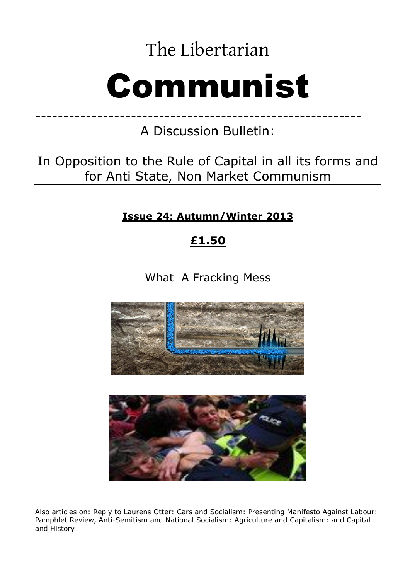The Libertarian

# Communist

A Discussion Bulletin:

----------------------------------------------------------

In Opposition to the Rule of Capital in all its forms and for Anti State, Non Market Communism

**Issue 24: Autumn/Winter 2013** 

# **£1.50**

What A Fracking Mess





Also articles on: Reply to Laurens Otter: Cars and Socialism: Presenting Manifesto Against Labour: Pamphlet Review, Anti-Semitism and National Socialism: Agriculture and Capitalism: and Capital and History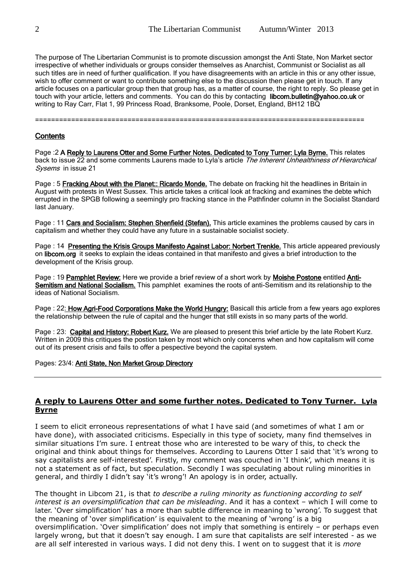The purpose of The Libertarian Communist is to promote discussion amongst the Anti State, Non Market sector irrespective of whether individuals or groups consider themselves as Anarchist, Communist or Socialist as all such titles are in need of further qualification. If you have disagreements with an article in this or any other issue, wish to offer comment or want to contribute something else to the discussion then please get in touch. If any article focuses on a particular group then that group has, as a matter of course, the right to reply. So please get in touch with your article, letters and comments. You can do this by contacting libcom.bulletin@yahoo.co.uk or writing to Ray Carr, Flat 1, 99 Princess Road, Branksome, Poole, Dorset, England, BH12 1BQ

==================================================================================

# **Contents**

Page :2 A Reply to Laurens Otter and Some Further Notes. Dedicated to Tony Turner: Lyla Byrne. This relates back to issue 22 and some comments Laurens made to Lyla's article The Inherent Unhealthiness of Hierarchical Sysems in issue 21

Page : 5 Fracking About with the Planet:: Ricardo Monde. The debate on fracking hit the headlines in Britain in August with protests in West Sussex. This article takes a critical look at fracking and examines the debte which errupted in the SPGB following a seemingly pro fracking stance in the Pathfinder column in the Socialist Standard last January.

Page : 11 Cars and Socialism: Stephen Shenfield (Stefan). This article examines the problems caused by cars in capitalism and whether they could have any future in a sustainable socialist society.

Page : 14 Presenting the Krisis Groups Manifesto Against Labor: Norbert Trenkle. This article appeared previously on libcom.org it seeks to explain the ideas contained in that manifesto and gives a brief introduction to the development of the Krisis group.

Page : 19 Pamphlet Review: Here we provide a brief review of a short work by Moishe Postone entitled Anti-Semitism and National Socialism. This pamphlet examines the roots of anti-Semitism and its relationship to the ideas of National Socialism.

Page : 22: How Agri-Food Corporations Make the World Hungry: Basicall this article from a few years ago explores the relationship between the rule of capital and the hunger that still exists in so many parts of the world.

Page : 23: Capital and History: Robert Kurz. We are pleased to present this brief article by the late Robert Kurz. Written in 2009 this critiques the postion taken by most which only concerns when and how capitalism will come out of its present crisis and fails to offer a pespective beyond the capital system.

#### Pages: 23/4: Anti State, Non Market Group Directory

# **A reply to Laurens Otter and some further notes. Dedicated to Tony Turner. Lyla Byrne**

I seem to elicit erroneous representations of what I have said (and sometimes of what I am or have done), with associated criticisms. Especially in this type of society, many find themselves in similar situations I'm sure. I entreat those who are interested to be wary of this, to check the original and think about things for themselves. According to Laurens Otter I said that 'it's wrong to say capitalists are self-interested'. Firstly, my comment was couched in 'I think', which means it is not a statement as of fact, but speculation. Secondly I was speculating about ruling minorities in general, and thirdly I didn't say 'it's wrong'! An apology is in order, actually.

The thought in Libcom 21, is that *to describe a ruling minority as functioning according to self interest is an oversimplification that can be misleading*. And it has a context – which I will come to later. 'Over simplification' has a more than subtle difference in meaning to 'wrong'. To suggest that the meaning of 'over simplification' is equivalent to the meaning of 'wrong' is a big oversimplification. 'Over simplification' does not imply that something is entirely – or perhaps even largely wrong, but that it doesn't say enough. I am sure that capitalists are self interested - as we are all self interested in various ways. I did not deny this. I went on to suggest that it is *more*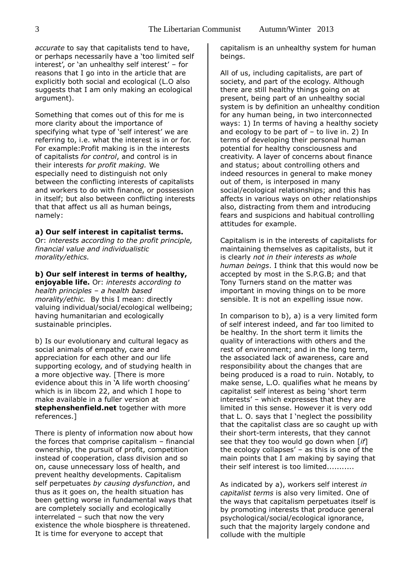*accurate* to say that capitalists tend to have, or perhaps necessarily have a 'too limited self interest', or 'an unhealthy self interest' – for reasons that I go into in the article that are explicitly both social and ecological (L.O also suggests that I am only making an ecological argument).

Something that comes out of this for me is more clarity about the importance of specifying what type of 'self interest' we are referring to, i.e. what the interest is in or for. For example:Profit making is in the interests of capitalists *for control*, and control is in their interests *for profit making.* We especially need to distinguish not only between the conflicting interests of capitalists and workers to do with finance, or possession in itself; but also between conflicting interests that that affect us all as human beings, namely:

#### **a) Our self interest in capitalist terms.**

Or: *interests according to the profit principle, financial value and individualistic morality/ethics.* 

#### **b) Our self interest in terms of healthy,**

**enjoyable life.** Or: *interests according to health principles – a health based morality/ethic.* By this I mean: directly valuing individual/social/ecological wellbeing; having humanitarian and ecologically sustainable principles.

b) Is our evolutionary and cultural legacy as social animals of empathy, care and appreciation for each other and our life supporting ecology, and of studying health in a more objective way. [There is more evidence about this in 'A life worth choosing' which is in libcom 22, and which I hope to make available in a fuller version at **stephenshenfield.net** together with more references.]

There is plenty of information now about how the forces that comprise capitalism – financial ownership, the pursuit of profit, competition instead of cooperation, class division and so on, cause unnecessary loss of health, and prevent healthy developments. Capitalism self perpetuates *by causing dysfunction*, and thus as it goes on, the health situation has been getting worse in fundamental ways that are completely socially and ecologically interrelated – such that now the very existence the whole biosphere is threatened. It is time for everyone to accept that

capitalism is an unhealthy system for human beings.

All of us, including capitalists, are part of society, and part of the ecology. Although there are still healthy things going on at present, being part of an unhealthy social system is by definition an unhealthy condition for any human being, in two interconnected ways: 1) In terms of having a healthy society and ecology to be part of – to live in. 2) In terms of developing their personal human potential for healthy consciousness and creativity. A layer of concerns about finance and status; about controlling others and indeed resources in general to make money out of them, is interposed in many social/ecological relationships; and this has affects in various ways on other relationships also, distracting from them and introducing fears and suspicions and habitual controlling attitudes for example.

Capitalism is in the interests of capitalists for maintaining themselves as capitalists, but it is clearly *not in their interests as whole human beings*. I think that this would now be accepted by most in the S.P.G.B; and that Tony Turners stand on the matter was important in moving things on to be more sensible. It is not an expelling issue now.

In comparison to b), a) is a very limited form of self interest indeed, and far too limited to be healthy. In the short term it limits the quality of interactions with others and the rest of environment; and in the long term, the associated lack of awareness, care and responsibility about the changes that are being produced is a road to ruin. Notably, to make sense, L.O. qualifies what he means by capitalist self interest as being 'short term interests' – which expresses that they are limited in this sense. However it is very odd that L. O. says that I 'neglect the possibility that the capitalist class are so caught up with their short-term interests, that they cannot see that they too would go down when [*if*] the ecology collapses' – as this is one of the main points that I am making by saying that their self interest is too limited...........

As indicated by a), workers self interest *in capitalist terms* is also very limited. One of the ways that capitalism perpetuates itself is by promoting interests that produce general psychological/social/ecological ignorance, such that the majority largely condone and collude with the multiple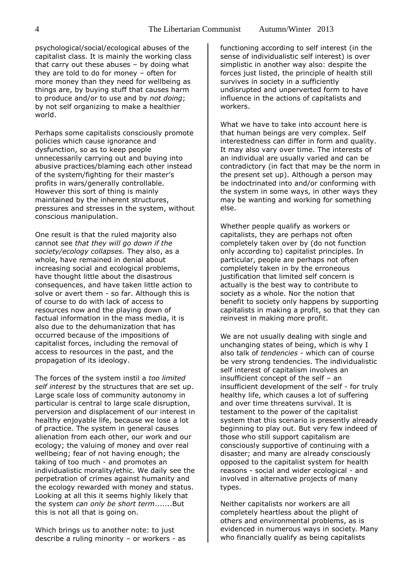psychological/social/ecological abuses of the capitalist class. It is mainly the working class that carry out these abuses  $-$  by doing what they are told to do for money – often for more money than they need for wellbeing as things are, by buying stuff that causes harm to produce and/or to use and by *not doing*; by not self organizing to make a healthier world.

Perhaps some capitalists consciously promote policies which cause ignorance and dysfunction, so as to keep people unnecessarily carrying out and buying into abusive practices/blaming each other instead of the system/fighting for their master's profits in wars/generally controllable. However this sort of thing is mainly maintained by the inherent structures, pressures and stresses in the system, without conscious manipulation.

One result is that the ruled majority also cannot see *that they will go down if the society/ecology collapses.* They also, as a whole, have remained in denial about increasing social and ecological problems, have thought little about the disastrous consequences, and have taken little action to solve or avert them - so far. Although this is of course to do with lack of access to resources now and the playing down of factual information in the mass media, it is also due to the dehumanization that has occurred because of the impositions of capitalist forces, including the removal of access to resources in the past, and the propagation of its ideology.

The forces of the system instil a *too limited self interest* by the structures that are set up. Large scale loss of community autonomy in particular is central to large scale disruption, perversion and displacement of our interest in healthy enjoyable life, because we lose a lot of practice. The system in general causes alienation from each other, our work and our ecology; the valuing of money and over real wellbeing; fear of not having enough; the taking of too much - and promotes an individualistic morality/ethic. We daily see the perpetration of crimes against humanity and the ecology rewarded with money and status. Looking at all this it seems highly likely that the system *can only be short term*.......But this is not all that is going on.

Which brings us to another note: to just describe a ruling minority – or workers - as functioning according to self interest (in the sense of individualistic self interest) is over simplistic in another way also: despite the forces just listed, the principle of health still survives in society in a sufficiently undisrupted and unperverted form to have influence in the actions of capitalists and workers.

What we have to take into account here is that human beings are very complex. Self interestedness can differ in form and quality. It may also vary over time. The interests of an individual are usually varied and can be contradictory (in fact that may be the norm in the present set up). Although a person may be indoctrinated into and/or conforming with the system in some ways, in other ways they may be wanting and working for something else.

Whether people qualify as workers or capitalists, they are perhaps not often completely taken over by (do not function only according to) capitalist principles. In particular, people are perhaps not often completely taken in by the erroneous justification that limited self concern is actually is the best way to contribute to society as a whole. Nor the notion that benefit to society only happens by supporting capitalists in making a profit, so that they can reinvest in making more profit.

We are not usually dealing with single and unchanging states of being, which is why I also talk of *tendencies* - which can of course be very strong tendencies. The individualistic self interest of capitalism involves an insufficient concept of the self – an insufficient development of the self - for truly healthy life, which causes a lot of suffering and over time threatens survival. It is testament to the power of the capitalist system that this scenario is presently already beginning to play out. But very few indeed of those who still support capitalism are consciously supportive of continuing with a disaster; and many are already consciously opposed to the capitalist system for health reasons - social and wider ecological - and involved in alternative projects of many types.

Neither capitalists nor workers are all completely heartless about the plight of others and environmental problems, as is evidenced in numerous ways in society. Many who financially qualify as being capitalists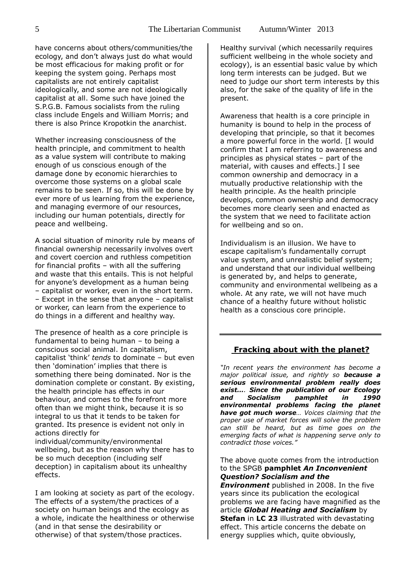have concerns about others/communities/the ecology, and don't always just do what would be most efficacious for making profit or for keeping the system going. Perhaps most capitalists are not entirely capitalist ideologically, and some are not ideologically capitalist at all. Some such have joined the S.P.G.B. Famous socialists from the ruling class include Engels and William Morris; and there is also Prince Kropotkin the anarchist.

Whether increasing consciousness of the health principle, and commitment to health as a value system will contribute to making enough of us conscious enough of the damage done by economic hierarchies to overcome those systems on a global scale remains to be seen. If so, this will be done by ever more of us learning from the experience, and managing evermore of our resources, including our human potentials, directly for peace and wellbeing.

A social situation of minority rule by means of financial ownership necessarily involves overt and covert coercion and ruthless competition for financial profits – with all the suffering and waste that this entails. This is not helpful for anyone's development as a human being – capitalist or worker, even in the short term. – Except in the sense that anyone – capitalist or worker, can learn from the experience to do things in a different and healthy way.

The presence of health as a core principle is fundamental to being human – to being a conscious social animal. In capitalism, capitalist 'think' *tends* to dominate – but even then 'domination' implies that there is something there being dominated. Nor is the domination complete or constant. By existing, the health principle has effects in our behaviour, and comes to the forefront more often than we might think, because it is so integral to us that it tends to be taken for granted. Its presence is evident not only in actions directly for

individual/community/environmental wellbeing, but as the reason why there has to be so much deception (including self deception) in capitalism about its unhealthy effects.

I am looking at society as part of the ecology. The effects of a system/the practices of a society on human beings and the ecology as a whole, indicate the healthiness or otherwise (and in that sense the desirability or otherwise) of that system/those practices.

Healthy survival (which necessarily requires sufficient wellbeing in the whole society and ecology), is an essential basic value by which long term interests can be judged. But we need to judge our short term interests by this also, for the sake of the quality of life in the present.

Awareness that health is a core principle in humanity is bound to help in the process of developing that principle, so that it becomes a more powerful force in the world. [I would confirm that I am referring to awareness and principles as physical states – part of the material, with causes and effects.] I see common ownership and democracy in a mutually productive relationship with the health principle. As the health principle develops, common ownership and democracy becomes more clearly seen and enacted as the system that we need to facilitate action for wellbeing and so on.

Individualism is an illusion. We have to escape capitalism's fundamentally corrupt value system, and unrealistic belief system; and understand that our individual wellbeing is generated by, and helps to generate, community and environmental wellbeing as a whole. At any rate, we will not have much chance of a healthy future without holistic health as a conscious core principle.

#### **Fracking about with the planet?**

*"In recent years the environment has become a major political issue, and rightly so because a serious environmental problem really does exist…. Since the publication of our Ecology and Socialism pamphlet in 1990 environmental problems facing the planet have got much worse… Voices claiming that the proper use of market forces will solve the problem can still be heard, but as time goes on the emerging facts of what is happening serve only to contradict those voices."*

The above quote comes from the introduction to the SPGB **pamphlet** *An Inconvenient Question? Socialism and the Environment* published in 2008. In the five years since its publication the ecological problems we are facing have magnified as the article *Global Heating and Socialism* by **Stefan** in **LC 23** illustrated with devastating effect. This article concerns the debate on energy supplies which, quite obviously,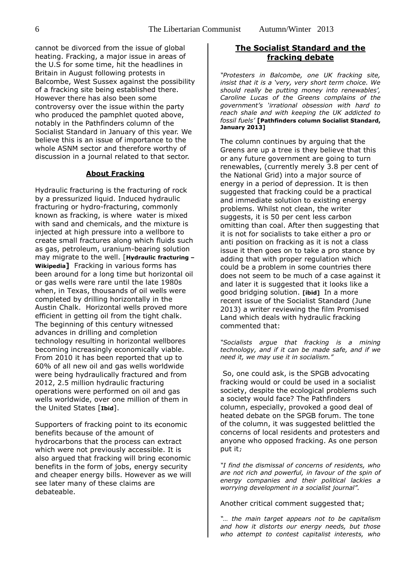cannot be divorced from the issue of global heating. Fracking, a major issue in areas of the U.S for some time, hit the headlines in Britain in August following protests in Balcombe, West Sussex against the possibility of a fracking site being established there. However there has also been some controversy over the issue within the party who produced the pamphlet quoted above, notably in the Pathfinders column of the Socialist Standard in January of this year. We believe this is an issue of importance to the whole ASNM sector and therefore worthy of discussion in a journal related to that sector.

#### **About Fracking**

Hydraulic fracturing is the fracturing of rock by a pressurized liquid. Induced hydraulic fracturing or hydro-fracturing, commonly known as fracking, is where water is mixed with sand and chemicals, and the mixture is injected at high pressure into a wellbore to create small fractures along which fluids such as gas, petroleum, uranium-bearing solution may migrate to the well. [**Hydraulic fracturing – Wikipedia]** Fracking in various forms has been around for a long time but horizontal oil or gas wells were rare until the late 1980s when, in Texas, thousands of oil wells were completed by drilling horizontally in the Austin Chalk. Horizontal wells proved more efficient in getting oil from the tight chalk. The beginning of this century witnessed advances in drilling and completion technology resulting in horizontal wellbores becoming increasingly economically viable. From 2010 it has been reported that up to 60% of all new oil and gas wells worldwide were being hydraulically fractured and from 2012, 2.5 million hydraulic fracturing operations were performed on oil and gas wells worldwide, over one million of them in the United States [**Ibid**].

Supporters of fracking point to its economic benefits because of the amount of hydrocarbons that the process can extract which were not previously accessible. It is also argued that fracking will bring economic benefits in the form of jobs, energy security and cheaper energy bills. However as we will see later many of these claims are debateable.

#### **The Socialist Standard and the fracking debate**

*"Protesters in Balcombe, one UK fracking site, insist that it is a 'very, very short term choice. We should really be putting money into renewables', Caroline Lucas of the Greens complains of the government's 'irrational obsession with hard to reach shale and with keeping the UK addicted to fossil fuels'* **[Pathfinders column Socialist Standard, January 2013]** 

The column continues by arguing that the Greens are up a tree is they believe that this or any future government are going to turn renewables, (currently merely 3.8 per cent of the National Grid) into a major source of energy in a period of depression. It is then suggested that fracking could be a practical and immediate solution to existing energy problems. Whilst not clean, the writer suggests, it is 50 per cent less carbon omitting than coal. After then suggesting that it is not for socialists to take either a pro or anti position on fracking as it is not a class issue it then goes on to take a pro stance by adding that with proper regulation which could be a problem in some countries there does not seem to be much of a case against it and later it is suggested that it looks like a good bridging solution. **[ibid]** In a more recent issue of the Socialist Standard (June 2013) a writer reviewing the film Promised Land which deals with hydraulic fracking commented that:

*"Socialists argue that fracking is a mining technology, and if it can be made safe, and if we need it, we may use it in socialism."* 

So, one could ask, is the SPGB advocating fracking would or could be used in a socialist society, despite the ecological problems such a society would face? The Pathfinders column, especially, provoked a good deal of heated debate on the SPGB forum. The tone of the column, it was suggested belittled the concerns of local residents and protesters and anyone who opposed fracking. As one person put it;

*"I find the dismissal of concerns of residents, who are not rich and powerful, in favour of the spin of energy companies and their political lackies a worrying development in a socialist journal".* 

Another critical comment suggested that;

*"… the main target appears not to be capitalism and how it distorts our energy needs, but those who attempt to contest capitalist interests, who*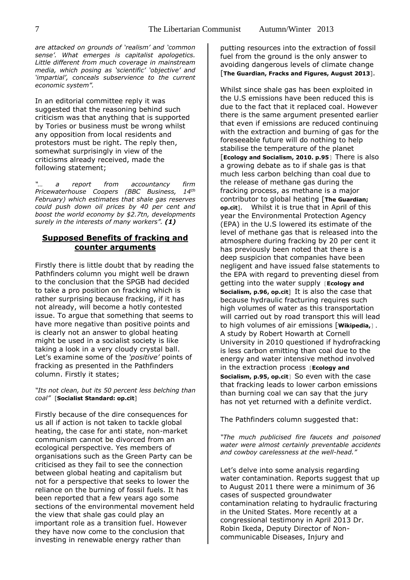*are attacked on grounds of 'realism' and 'common sense'. What emerges is capitalist apologetics. Little different from much coverage in mainstream media, which posing as 'scientific' 'objective' and 'impartial', conceals subservience to the current economic system".*

In an editorial committee reply it was suggested that the reasoning behind such criticism was that anything that is supported by Tories or business must be wrong whilst any opposition from local residents and protestors must be right. The reply then, somewhat surprisingly in view of the criticisms already received, made the following statement;

*"… a report from accountancy firm Pricewaterhouse Coopers (BBC Business, 14th February) which estimates that shale gas reserves could push down oil prices by 40 per cent and boost the world economy by \$2.7tn, developments surely in the interests of many workers". (1)*

# **Supposed Benefits of fracking and counter arguments**

Firstly there is little doubt that by reading the Pathfinders column you might well be drawn to the conclusion that the SPGB had decided to take a pro position on fracking which is rather surprising because fracking, if it has not already, will become a hotly contested issue. To argue that something that seems to have more negative than positive points and is clearly not an answer to global heating might be used in a socialist society is like taking a look in a very cloudy crystal ball. Let's examine some of the *'positive'* points of fracking as presented in the Pathfinders column. Firstly it states;

#### *"Its not clean, but its 50 percent less belching than coal"* [**Socialist Standard: op.cit**]

Firstly because of the dire consequences for us all if action is not taken to tackle global heating, the case for anti state, non-market communism cannot be divorced from an ecological perspective. Yes members of organisations such as the Green Party can be criticised as they fail to see the connection between global heating and capitalism but not for a perspective that seeks to lower the reliance on the burning of fossil fuels. It has been reported that a few years ago some sections of the environmental movement held the view that shale gas could play an important role as a transition fuel. However they have now come to the conclusion that investing in renewable energy rather than

putting resources into the extraction of fossil fuel from the ground is the only answer to avoiding dangerous levels of climate change [**The Guardian, Fracks and Figures, August 2013**].

Whilst since shale gas has been exploited in the U.S emissions have been reduced this is due to the fact that it replaced coal. However there is the same argument presented earlier that even if emissions are reduced continuing with the extraction and burning of gas for the foreseeable future will do nothing to help stabilise the temperature of the planet [**Ecology and Socialism, 2010. p.95**] There is also a growing debate as to if shale gas is that much less carbon belching than coal due to the release of methane gas during the fracking process, as methane is a major contributor to global heating [**The Guardian; op.cit**]. Whilst it is true that in April of this year the Environmental Protection Agency (EPA) in the U.S lowered its estimate of the level of methane gas that is released into the atmosphere during fracking by 20 per cent it has previously been noted that there is a deep suspicion that companies have been negligent and have issued false statements to the EPA with regard to preventing diesel from getting into the water supply [**Ecology and Socialism, p.96, op.cit**] It is also the case that because hydraulic fracturing requires such high volumes of water as this transportation will carried out by road transport this will lead to high volumes of air emissions [**Wikipedia,**]. A study by Robert Howarth at Cornell University in 2010 questioned if hydrofracking is less carbon emitting than coal due to the energy and water intensive method involved in the extraction process [**Ecology and Socialism, p.95, op.cit**] So even with the case that fracking leads to lower carbon emissions than burning coal we can say that the jury has not yet returned with a definite verdict.

The Pathfinders column suggested that:

*"The much publicised fire faucets and poisoned water were almost certainly preventable accidents and cowboy carelessness at the well-head."*

Let's delve into some analysis regarding water contamination. Reports suggest that up to August 2011 there were a minimum of 36 cases of suspected groundwater contamination relating to hydraulic fracturing in the United States. More recently at a congressional testimony in April 2013 Dr. Robin Ikeda, Deputy Director of Noncommunicable Diseases, Injury and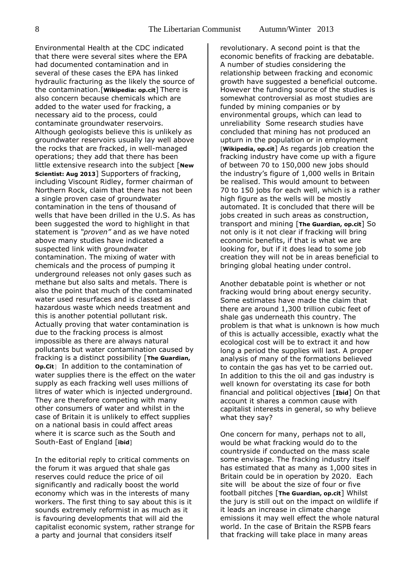Environmental Health at the CDC indicated that there were several sites where the EPA had documented contamination and in several of these cases the EPA has linked hydraulic fracturing as the likely the source of the contamination.[**Wikipedia: op.cit**] There is also concern because chemicals which are added to the water used for fracking, a necessary aid to the process, could contaminate groundwater reservoirs. Although geologists believe this is unlikely as groundwater reservoirs usually lay well above the rocks that are fracked, in well-managed operations; they add that there has been little extensive research into the subject [**New Scientist: Aug 2013**] Supporters of fracking, including Viscount Ridley, former chairman of Northern Rock, claim that there has not been a single proven case of groundwater contamination in the tens of thousand of wells that have been drilled in the U.S. As has been suggested the word to highlight in that statement is *"proven"* and as we have noted above many studies have indicated a suspected link with groundwater contamination. The mixing of water with chemicals and the process of pumping it underground releases not only gases such as methane but also salts and metals. There is also the point that much of the contaminated water used resurfaces and is classed as hazardous waste which needs treatment and this is another potential pollutant risk. Actually proving that water contamination is due to the fracking process is almost impossible as there are always natural pollutants but water contamination caused by fracking is a distinct possibility [**The Guardian, Op.Cit**] In addition to the contamination of water supplies there is the effect on the water supply as each fracking well uses millions of litres of water which is injected underground. They are therefore competing with many other consumers of water and whilst in the case of Britain it is unlikely to effect supplies on a national basis in could affect areas where it is scarce such as the South and South-East of England [**ibid**]

In the editorial reply to critical comments on the forum it was argued that shale gas reserves could reduce the price of oil significantly and radically boost the world economy which was in the interests of many workers. The first thing to say about this is it sounds extremely reformist in as much as it is favouring developments that will aid the capitalist economic system, rather strange for a party and journal that considers itself

revolutionary. A second point is that the economic benefits of fracking are debatable. A number of studies considering the relationship between fracking and economic growth have suggested a beneficial outcome. However the funding source of the studies is somewhat controversial as most studies are funded by mining companies or by environmental groups, which can lead to unreliability Some research studies have concluded that mining has not produced an upturn in the population or in employment [**Wikipedia, op.cit**] As regards job creation the fracking industry have come up with a figure of between 70 to 150,000 new jobs should the industry's figure of 1,000 wells in Britain be realised. This would amount to between 70 to 150 jobs for each well, which is a rather high figure as the wells will be mostly automated. It is concluded that there will be jobs created in such areas as construction, transport and mining [**The Guardian, op.cit**] So not only is it not clear if fracking will bring economic benefits, if that is what we are looking for, but if it does lead to some job creation they will not be in areas beneficial to bringing global heating under control.

Another debatable point is whether or not fracking would bring about energy security. Some estimates have made the claim that there are around 1,300 trillion cubic feet of shale gas underneath this country. The problem is that what is unknown is how much of this is actually accessible, exactly what the ecological cost will be to extract it and how long a period the supplies will last. A proper analysis of many of the formations believed to contain the gas has yet to be carried out. In addition to this the oil and gas industry is well known for overstating its case for both financial and political objectives [**Ibid**] On that account it shares a common cause with capitalist interests in general, so why believe what they say?

One concern for many, perhaps not to all, would be what fracking would do to the countryside if conducted on the mass scale some envisage. The fracking industry itself has estimated that as many as 1,000 sites in Britain could be in operation by 2020. Each site will be about the size of four or five football pitches [**The Guardian, op.cit**] Whilst the jury is still out on the impact on wildlife if it leads an increase in climate change emissions it may well effect the whole natural world. In the case of Britain the RSPB fears that fracking will take place in many areas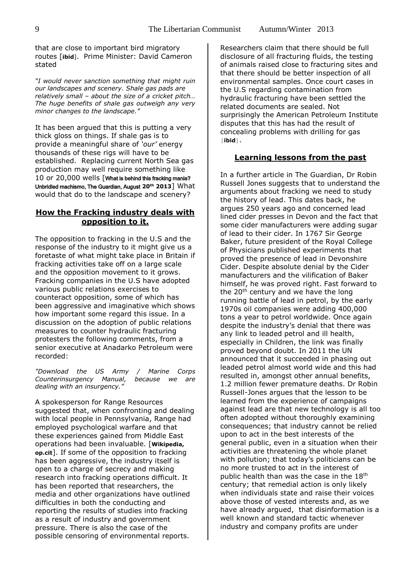that are close to important bird migratory routes [**ibid**]. Prime Minister: David Cameron stated

*"I would never sanction something that might ruin our landscapes and scenery. Shale gas pads are relatively small – about the size of a cricket pitch… The huge benefits of shale gas outweigh any very minor changes to the landscape."* 

It has been argued that this is putting a very thick gloss on things. If shale gas is to provide a meaningful share of *'our'* energy thousands of these rigs will have to be established. Replacing current North Sea gas production may well require something like 10 or 20,000 wells [What is behind this fracking mania? Unbridled machismo, The Guardian, August **20th 2013**] What would that do to the landscape and scenery?

# **How the Fracking industry deals with opposition to it.**

The opposition to fracking in the U.S and the response of the industry to it might give us a foretaste of what might take place in Britain if fracking activities take off on a large scale and the opposition movement to it grows. Fracking companies in the U.S have adopted various public relations exercises to counteract opposition, some of which has been aggressive and imaginative which shows how important some regard this issue. In a discussion on the adoption of public relations measures to counter hydraulic fracturing protesters the following comments, from a senior executive at Anadarko Petroleum were recorded:

*"Download the US Army / Marine Corps Counterinsurgency Manual, because we are dealing with an insurgency."*

A spokesperson for Range Resources suggested that, when confronting and dealing with local people in Pennsylvania, Range had employed psychological warfare and that these experiences gained from Middle East operations had been invaluable. [**Wikipedia, op.cit**]. If some of the opposition to fracking has been aggressive, the industry itself is open to a charge of secrecy and making research into fracking operations difficult. It has been reported that researchers, the media and other organizations have outlined difficulties in both the conducting and reporting the results of studies into fracking as a result of industry and government pressure. There is also the case of the possible censoring of environmental reports.

Researchers claim that there should be full disclosure of all fracturing fluids, the testing of animals raised close to fracturing sites and that there should be better inspection of all environmental samples. Once court cases in the U.S regarding contamination from hydraulic fracturing have been settled the related documents are sealed. Not surprisingly the American Petroleum Institute disputes that this has had the result of concealing problems with drilling for gas [**ibid**].

#### **Learning lessons from the past**

In a further article in The Guardian, Dr Robin Russell Jones suggests that to understand the arguments about fracking we need to study the history of lead. This dates back, he argues 250 years ago and concerned lead lined cider presses in Devon and the fact that some cider manufacturers were adding sugar of lead to their cider. In 1767 Sir George Baker, future president of the Royal College of Physicians published experiments that proved the presence of lead in Devonshire Cider. Despite absolute denial by the Cider manufacturers and the vilification of Baker himself, he was proved right. Fast forward to the  $20<sup>th</sup>$  century and we have the long running battle of lead in petrol, by the early 1970s oil companies were adding 400,000 tons a year to petrol worldwide. Once again despite the industry's denial that there was any link to leaded petrol and ill health, especially in Children, the link was finally proved beyond doubt. In 2011 the UN announced that it succeeded in phasing out leaded petrol almost world wide and this had resulted in, amongst other annual benefits, 1.2 million fewer premature deaths. Dr Robin Russell-Jones argues that the lesson to be learned from the experience of campaigns against lead are that new technology is all too often adopted without thoroughly examining consequences; that industry cannot be relied upon to act in the best interests of the general public, even in a situation when their activities are threatening the whole planet with pollution; that today's politicians can be no more trusted to act in the interest of public health than was the case in the 18<sup>th</sup> century; that remedial action is only likely when individuals state and raise their voices above those of vested interests and, as we have already argued, that disinformation is a well known and standard tactic whenever industry and company profits are under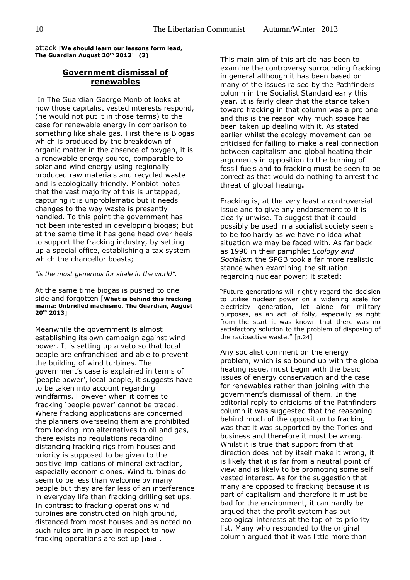attack [**We should learn our lessons form lead, The Guardian August 20th 2013**] **(3)**

# **Government dismissal of renewables**

In The Guardian George Monbiot looks at how those capitalist vested interests respond, (he would not put it in those terms) to the case for renewable energy in comparison to something like shale gas. First there is Biogas which is produced by the breakdown of organic matter in the absence of oxygen, it is a renewable energy source, comparable to solar and wind energy using regionally produced raw materials and recycled waste and is ecologically friendly. Monbiot notes that the vast majority of this is untapped, capturing it is unproblematic but it needs changes to the way waste is presently handled. To this point the government has not been interested in developing biogas; but at the same time it has gone head over heels to support the fracking industry, by setting up a special office, establishing a tax system which the chancellor boasts;

*"is the most generous for shale in the world".* 

At the same time biogas is pushed to one side and forgotten [**What is behind this fracking mania: Unbridled machismo, The Guardian, August 20th 2013**]

Meanwhile the government is almost establishing its own campaign against wind power. It is setting up a veto so that local people are enfranchised and able to prevent the building of wind turbines. The government's case is explained in terms of 'people power', local people, it suggests have to be taken into account regarding windfarms. However when it comes to fracking 'people power' cannot be traced. Where fracking applications are concerned the planners overseeing them are prohibited from looking into alternatives to oil and gas, there exists no regulations regarding distancing fracking rigs from houses and priority is supposed to be given to the positive implications of mineral extraction, especially economic ones. Wind turbines do seem to be less than welcome by many people but they are far less of an interference in everyday life than fracking drilling set ups. In contrast to fracking operations wind turbines are constructed on high ground, distanced from most houses and as noted no such rules are in place in respect to how fracking operations are set up [**ibid**].

This main aim of this article has been to examine the controversy surrounding fracking in general although it has been based on many of the issues raised by the Pathfinders column in the Socialist Standard early this year. It is fairly clear that the stance taken toward fracking in that column was a pro one and this is the reason why much space has been taken up dealing with it. As stated earlier whilst the ecology movement can be criticised for failing to make a real connection between capitalism and global heating their arguments in opposition to the burning of fossil fuels and to fracking must be seen to be correct as that would do nothing to arrest the threat of global heating**.** 

Fracking is, at the very least a controversial issue and to give any endorsement to it is clearly unwise. To suggest that it could possibly be used in a socialist society seems to be foolhardy as we have no idea what situation we may be faced with. As far back as 1990 in their pamphlet *Ecology and Socialism* the SPGB took a far more realistic stance when examining the situation regarding nuclear power; it stated:

"Future generations will rightly regard the decision to utilise nuclear power on a widening scale for electricity generation, let alone for military purposes, as an act of folly, especially as right from the start it was known that there was no satisfactory solution to the problem of disposing of the radioactive waste." [p.24]

Any socialist comment on the energy problem, which is so bound up with the global heating issue, must begin with the basic issues of energy conservation and the case for renewables rather than joining with the government's dismissal of them. In the editorial reply to criticisms of the Pathfinders column it was suggested that the reasoning behind much of the opposition to fracking was that it was supported by the Tories and business and therefore it must be wrong. Whilst it is true that support from that direction does not by itself make it wrong, it is likely that it is far from a neutral point of view and is likely to be promoting some self vested interest. As for the suggestion that many are opposed to fracking because it is part of capitalism and therefore it must be bad for the environment, it can hardly be argued that the profit system has put ecological interests at the top of its priority list. Many who responded to the original column argued that it was little more than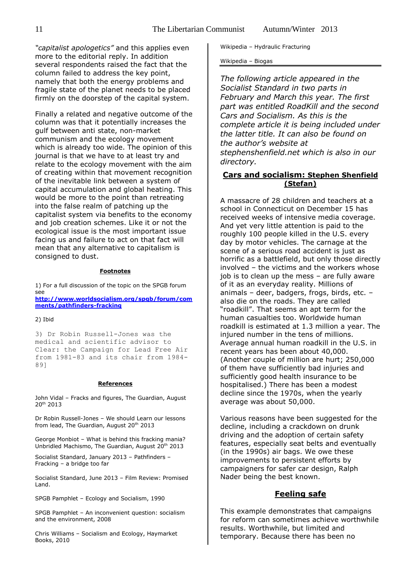*"capitalist apologetics"* and this applies even more to the editorial reply. In addition several respondents raised the fact that the column failed to address the key point, namely that both the energy problems and fragile state of the planet needs to be placed firmly on the doorstep of the capital system.

Finally a related and negative outcome of the column was that it potentially increases the gulf between anti state, non-market communism and the ecology movement which is already too wide. The opinion of this journal is that we have to at least try and relate to the ecology movement with the aim of creating within that movement recognition of the inevitable link between a system of capital accumulation and global heating. This would be more to the point than retreating into the false realm of patching up the capitalist system via benefits to the economy and job creation schemes. Like it or not the ecological issue is the most important issue facing us and failure to act on that fact will mean that any alternative to capitalism is consigned to dust.

#### **Footnotes**

1) For a full discussion of the topic on the SPGB forum see

**[http://www.worldsocialism.org/spgb/forum/com](http://www.worldsocialism.org/spgb/forum/comments/pathfinders-fracking) [ments/pathfinders-fracking](http://www.worldsocialism.org/spgb/forum/comments/pathfinders-fracking)**

#### 2) Ibid

3) Dr Robin Russell-Jones was the medical and scientific advisor to Clear: the Campaign for Lead Free Air from 1981-83 and its chair from 1984- 89]

#### **References**

John Vidal – Fracks and figures, The Guardian, August 20th 2013

Dr Robin Russell-Jones – We should Learn our lessons from lead, The Guardian, August 20<sup>th</sup> 2013

George Monbiot – What is behind this fracking mania? Unbridled Machismo, The Guardian, August 20<sup>th</sup> 2013

Socialist Standard, January 2013 – Pathfinders – Fracking – a bridge too far

Socialist Standard, June 2013 – Film Review: Promised Land.

SPGB Pamphlet – Ecology and Socialism, 1990

SPGB Pamphlet – An inconvenient question: socialism and the environment, 2008

Chris Williams – Socialism and Ecology, Haymarket Books, 2010

Wikipedia – Hydraulic Fracturing

Wikipedia – Biogas

*The following article appeared in the Socialist Standard in two parts in February and March this year. The first part was entitled RoadKill and the second Cars and Socialism. As this is the complete article it is being included under the latter title. It can also be found on the author's website at stephenshenfield.net which is also in our directory.*

# **Cars and socialism: Stephen Shenfield (Stefan)**

A massacre of 28 children and teachers at a school in Connecticut on December 15 has received weeks of intensive media coverage. And yet very little attention is paid to the roughly 100 people killed in the U.S. every day by motor vehicles. The carnage at the scene of a serious road accident is just as horrific as a battlefield, but only those directly involved – the victims and the workers whose job is to clean up the mess – are fully aware of it as an everyday reality. Millions of animals – deer, badgers, frogs, birds, etc. – also die on the roads. They are called "roadkill". That seems an apt term for the human casualties too. Worldwide human roadkill is estimated at 1.3 million a year. The injured number in the tens of millions. Average annual human roadkill in the U.S. in recent years has been about 40,000. (Another couple of million are hurt; 250,000 of them have sufficiently bad injuries and sufficiently good health insurance to be hospitalised.) There has been a modest decline since the 1970s, when the yearly average was about 50,000.

Various reasons have been suggested for the decline, including a crackdown on drunk driving and the adoption of certain safety features, especially seat belts and eventually (in the 1990s) air bags. We owe these improvements to persistent efforts by campaigners for safer car design, Ralph Nader being the best known.

# **Feeling safe**

This example demonstrates that campaigns for reform can sometimes achieve worthwhile results. Worthwhile, but limited and temporary. Because there has been no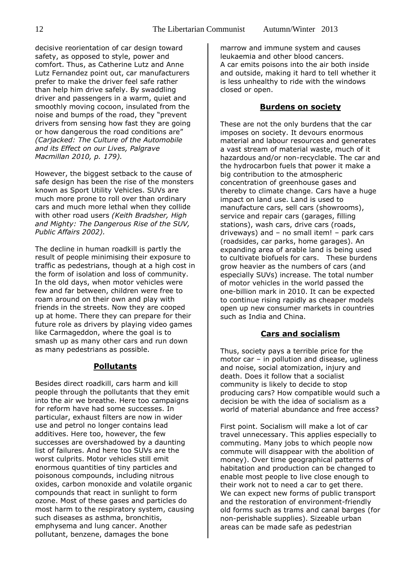decisive reorientation of car design toward safety, as opposed to style, power and comfort. Thus, as Catherine Lutz and Anne Lutz Fernandez point out, car manufacturers prefer to make the driver feel safe rather than help him drive safely. By swaddling driver and passengers in a warm, quiet and smoothly moving cocoon, insulated from the noise and bumps of the road, they "prevent drivers from sensing how fast they are going or how dangerous the road conditions are" *(Carjacked: The Culture of the Automobile and its Effect on our Lives, Palgrave Macmillan 2010, p. 179).*

However, the biggest setback to the cause of safe design has been the rise of the monsters known as Sport Utility Vehicles. SUVs are much more prone to roll over than ordinary cars and much more lethal when they collide with other road users *(Keith Bradsher, High and Mighty: The Dangerous Rise of the SUV, Public Affairs 2002).*

The decline in human roadkill is partly the result of people minimising their exposure to traffic as pedestrians, though at a high cost in the form of isolation and loss of community. In the old days, when motor vehicles were few and far between, children were free to roam around on their own and play with friends in the streets. Now they are cooped up at home. There they can prepare for their future role as drivers by playing video games like Carmageddon, where the goal is to smash up as many other cars and run down as many pedestrians as possible.

# **Pollutants**

Besides direct roadkill, cars harm and kill people through the pollutants that they emit into the air we breathe. Here too campaigns for reform have had some successes. In particular, exhaust filters are now in wider use and petrol no longer contains lead additives. Here too, however, the few successes are overshadowed by a daunting list of failures. And here too SUVs are the worst culprits. Motor vehicles still emit enormous quantities of tiny particles and poisonous compounds, including nitrous oxides, carbon monoxide and volatile organic compounds that react in sunlight to form ozone. Most of these gases and particles do most harm to the respiratory system, causing such diseases as asthma, bronchitis, emphysema and lung cancer. Another pollutant, benzene, damages the bone

marrow and immune system and causes leukaemia and other blood cancers. A car emits poisons into the air both inside and outside, making it hard to tell whether it is less unhealthy to ride with the windows closed or open.

#### **Burdens on society**

These are not the only burdens that the car imposes on society. It devours enormous material and labour resources and generates a vast stream of material waste, much of it hazardous and/or non-recyclable. The car and the hydrocarbon fuels that power it make a big contribution to the atmospheric concentration of greenhouse gases and thereby to climate change. Cars have a huge impact on land use. Land is used to manufacture cars, sell cars (showrooms), service and repair cars (garages, filling stations), wash cars, drive cars (roads, driveways) and – no small item! – park cars (roadsides, car parks, home garages). An expanding area of arable land is being used to cultivate biofuels for cars. These burdens grow heavier as the numbers of cars (and especially SUVs) increase. The total number of motor vehicles in the world passed the one-billion mark in 2010. It can be expected to continue rising rapidly as cheaper models open up new consumer markets in countries such as India and China.

#### **Cars and socialism**

Thus, society pays a terrible price for the motor car – in pollution and disease, ugliness and noise, social atomization, injury and death. Does it follow that a socialist community is likely to decide to stop producing cars? How compatible would such a decision be with the idea of socialism as a world of material abundance and free access?

First point. Socialism will make a lot of car travel unnecessary. This applies especially to commuting. Many jobs to which people now commute will disappear with the abolition of money). Over time geographical patterns of habitation and production can be changed to enable most people to live close enough to their work not to need a car to get there. We can expect new forms of public transport and the restoration of environment-friendly old forms such as trams and canal barges (for non-perishable supplies). Sizeable urban areas can be made safe as pedestrian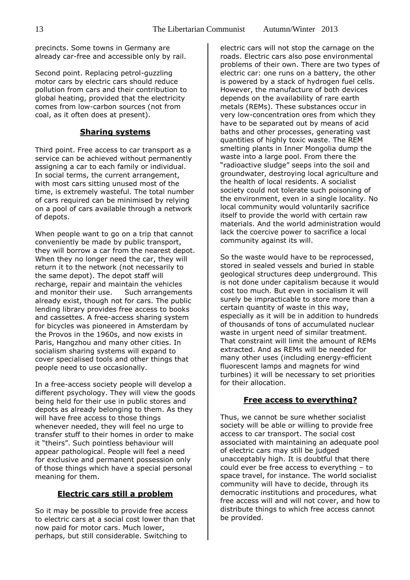precincts. Some towns in Germany are already car-free and accessible only by rail.

Second point. Replacing petrol-guzzling motor cars by electric cars should reduce pollution from cars and their contribution to global heating, provided that the electricity comes from low-carbon sources (not from coal, as it often does at present).

# **Sharing systems**

Third point. Free access to car transport as a service can be achieved without permanently assigning a car to each family or individual. In social terms, the current arrangement, with most cars sitting unused most of the time, is extremely wasteful. The total number of cars required can be minimised by relying on a pool of cars available through a network of depots.

When people want to go on a trip that cannot conveniently be made by public transport, they will borrow a car from the nearest depot. When they no longer need the car, they will return it to the network (not necessarily to the same depot). The depot staff will recharge, repair and maintain the vehicles and monitor their use. Such arrangements already exist, though not for cars. The public lending library provides free access to books and cassettes. A free-access sharing system for bicycles was pioneered in Amsterdam by the Provos in the 1960s, and now exists in Paris, Hangzhou and many other cities. In socialism sharing systems will expand to cover specialised tools and other things that people need to use occasionally.

In a free-access society people will develop a different psychology. They will view the goods being held for their use in public stores and depots as already belonging to them. As they will have free access to those things whenever needed, they will feel no urge to transfer stuff to their homes in order to make it "theirs". Such pointless behaviour will appear pathological. People will feel a need for exclusive and permanent possession only of those things which have a special personal meaning for them.

# **Electric cars still a problem**

So it may be possible to provide free access to electric cars at a social cost lower than that now paid for motor cars. Much lower, perhaps, but still considerable. Switching to

electric cars will not stop the carnage on the roads. Electric cars also pose environmental problems of their own. There are two types of electric car: one runs on a battery, the other is powered by a stack of hydrogen fuel cells. However, the manufacture of both devices depends on the availability of rare earth metals (REMs). These substances occur in very low-concentration ores from which they have to be separated out by means of acid baths and other processes, generating vast quantities of highly toxic waste. The REM smelting plants in Inner Mongolia dump the waste into a large pool. From there the "radioactive sludge" seeps into the soil and groundwater, destroying local agriculture and the health of local residents. A socialist society could not tolerate such poisoning of the environment, even in a single locality. No local community would voluntarily sacrifice itself to provide the world with certain raw materials. And the world administration would lack the coercive power to sacrifice a local community against its will.

So the waste would have to be reprocessed, stored in sealed vessels and buried in stable geological structures deep underground. This is not done under capitalism because it would cost too much. But even in socialism it will surely be impracticable to store more than a certain quantity of waste in this way, especially as it will be in addition to hundreds of thousands of tons of accumulated nuclear waste in urgent need of similar treatment. That constraint will limit the amount of REMs extracted. And as REMs will be needed for many other uses (including energy-efficient fluorescent lamps and magnets for wind turbines) it will be necessary to set priorities for their allocation.

#### **Free access to everything?**

Thus, we cannot be sure whether socialist society will be able or willing to provide free access to car transport. The social cost associated with maintaining an adequate pool of electric cars may still be judged unacceptably high. It is doubtful that there could ever be free access to everything – to space travel, for instance. The world socialist community will have to decide, through its democratic institutions and procedures, what free access will and will not cover, and how to distribute things to which free access cannot be provided.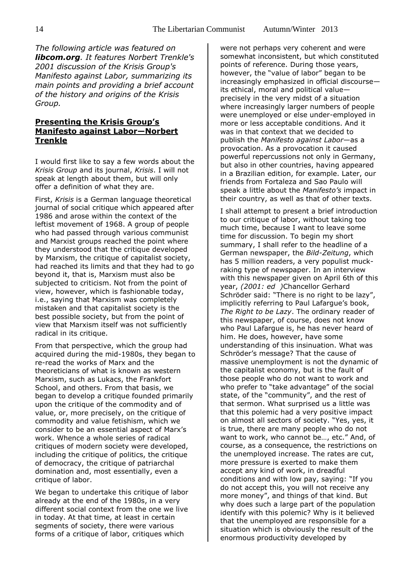*The following article was featured on libcom.org. It features Norbert Trenkle's 2001 discussion of the Krisis Group's Manifesto against Labor, summarizing its main points and providing a brief account of the history and origins of the Krisis Group.*

# **Presenting the Krisis Group's Manifesto against Labor—Norbert Trenkle**

I would first like to say a few words about the *Krisis Group* and its journal, *Krisis*. I will not speak at length about them, but will only offer a definition of what they are.

First, *Krisis* is a German language theoretical journal of social critique which appeared after 1986 and arose within the context of the leftist movement of 1968. A group of people who had passed through various communist and Marxist groups reached the point where they understood that the critique developed by Marxism, the critique of capitalist society, had reached its limits and that they had to go beyond it, that is, Marxism must also be subjected to criticism. Not from the point of view, however, which is fashionable today, i.e., saying that Marxism was completely mistaken and that capitalist society is the best possible society, but from the point of view that Marxism itself was not sufficiently radical in its critique.

From that perspective, which the group had acquired during the mid-1980s, they began to re-read the works of Marx and the theoreticians of what is known as western Marxism, such as Lukacs, the Frankfort School, and others. From that basis, we began to develop a critique founded primarily upon the critique of the commodity and of value, or, more precisely, on the critique of commodity and value fetishism, which we consider to be an essential aspect of Marx's work. Whence a whole series of radical critiques of modern society were developed, including the critique of politics, the critique of democracy, the critique of patriarchal domination and, most essentially, even a critique of labor.

We began to undertake this critique of labor already at the end of the 1980s, in a very different social context from the one we live in today. At that time, at least in certain segments of society, there were various forms of a critique of labor, critiques which

were not perhaps very coherent and were somewhat inconsistent, but which constituted points of reference. During those years, however, the "value of labor" began to be increasingly emphasized in official discourse its ethical, moral and political value precisely in the very midst of a situation where increasingly larger numbers of people were unemployed or else under-employed in more or less acceptable conditions. And it was in that context that we decided to publish the *Manifesto against Labor*—as a provocation. As a provocation it caused powerful repercussions not only in Germany, but also in other countries, having appeared in a Brazilian edition, for example. Later, our friends from Fortaleza and Sao Paulo will speak a little about the *Manifesto's* impact in their country, as well as that of other texts.

I shall attempt to present a brief introduction to our critique of labor, without taking too much time, because I want to leave some time for discussion. To begin my short summary, I shall refer to the headline of a German newspaper, the *Bild-Zeitung*, which has 5 million readers, a very populist muckraking type of newspaper. In an interview with this newspaper given on April 6th of this year, *(2001: ed )*Chancellor Gerhard Schröder said: "There is no right to be lazy", implicitly referring to Paul Lafargue's book, *The Right to be Lazy*. The ordinary reader of this newspaper, of course, does not know who Paul Lafargue is, he has never heard of him. He does, however, have some understanding of this insinuation. What was Schröder's message? That the cause of massive unemployment is not the dynamic of the capitalist economy, but is the fault of those people who do not want to work and who prefer to "take advantage" of the social state, of the "community", and the rest of that sermon. What surprised us a little was that this polemic had a very positive impact on almost all sectors of society. "Yes, yes, it is true, there are many people who do not want to work, who cannot be…, etc." And, of course, as a consequence, the restrictions on the unemployed increase. The rates are cut, more pressure is exerted to make them accept any kind of work, in dreadful conditions and with low pay, saying: "If you do not accept this, you will not receive any more money", and things of that kind. But why does such a large part of the population identify with this polemic? Why is it believed that the unemployed are responsible for a situation which is obviously the result of the enormous productivity developed by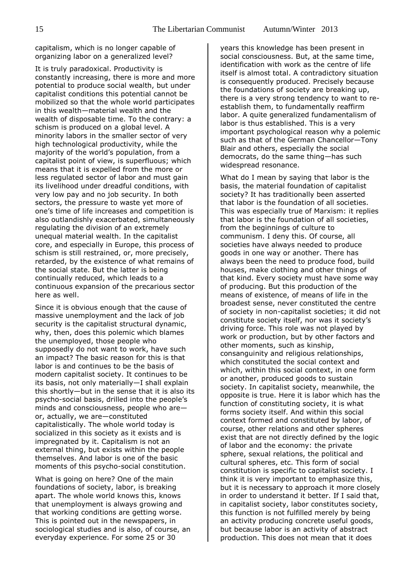capitalism, which is no longer capable of organizing labor on a generalized level?

It is truly paradoxical. Productivity is constantly increasing, there is more and more potential to produce social wealth, but under capitalist conditions this potential cannot be mobilized so that the whole world participates in this wealth—material wealth and the wealth of disposable time. To the contrary: a schism is produced on a global level. A minority labors in the smaller sector of very high technological productivity, while the majority of the world's population, from a capitalist point of view, is superfluous; which means that it is expelled from the more or less regulated sector of labor and must gain its livelihood under dreadful conditions, with very low pay and no job security. In both sectors, the pressure to waste yet more of one's time of life increases and competition is also outlandishly exacerbated, simultaneously regulating the division of an extremely unequal material wealth. In the capitalist core, and especially in Europe, this process of schism is still restrained, or, more precisely, retarded, by the existence of what remains of the social state. But the latter is being continually reduced, which leads to a continuous expansion of the precarious sector here as well.

Since it is obvious enough that the cause of massive unemployment and the lack of job security is the capitalist structural dynamic, why, then, does this polemic which blames the unemployed, those people who supposedly do not want to work, have such an impact? The basic reason for this is that labor is and continues to be the basis of modern capitalist society. It continues to be its basis, not only materially—I shall explain this shortly—but in the sense that it is also its psycho-social basis, drilled into the people's minds and consciousness, people who are or, actually, we are—constituted capitalistically. The whole world today is socialized in this society as it exists and is impregnated by it. Capitalism is not an external thing, but exists within the people themselves. And labor is one of the basic moments of this psycho-social constitution.

What is going on here? One of the main foundations of society, labor, is breaking apart. The whole world knows this, knows that unemployment is always growing and that working conditions are getting worse. This is pointed out in the newspapers, in sociological studies and is also, of course, an everyday experience. For some 25 or 30

years this knowledge has been present in social consciousness. But, at the same time, identification with work as the centre of life itself is almost total. A contradictory situation is consequently produced. Precisely because the foundations of society are breaking up, there is a very strong tendency to want to reestablish them, to fundamentally reaffirm labor. A quite generalized fundamentalism of labor is thus established. This is a very important psychological reason why a polemic such as that of the German Chancellor—Tony Blair and others, especially the social democrats, do the same thing—has such widespread resonance.

What do I mean by saying that labor is the basis, the material foundation of capitalist society? It has traditionally been asserted that labor is the foundation of all societies. This was especially true of Marxism: it replies that labor is the foundation of all societies, from the beginnings of culture to communism. I deny this. Of course, all societies have always needed to produce goods in one way or another. There has always been the need to produce food, build houses, make clothing and other things of that kind. Every society must have some way of producing. But this production of the means of existence, of means of life in the broadest sense, never constituted the centre of society in non-capitalist societies; it did not constitute society itself, nor was it society's driving force. This role was not played by work or production, but by other factors and other moments, such as kinship, consanguinity and religious relationships, which constituted the social context and which, within this social context, in one form or another, produced goods to sustain society. In capitalist society, meanwhile, the opposite is true. Here it is labor which has the function of constituting society, it is what forms society itself. And within this social context formed and constituted by labor, of course, other relations and other spheres exist that are not directly defined by the logic of labor and the economy: the private sphere, sexual relations, the political and cultural spheres, etc. This form of social constitution is specific to capitalist society. I think it is very important to emphasize this, but it is necessary to approach it more closely in order to understand it better. If I said that, in capitalist society, labor constitutes society, this function is not fulfilled merely by being an activity producing concrete useful goods, but because labor is an activity of abstract production. This does not mean that it does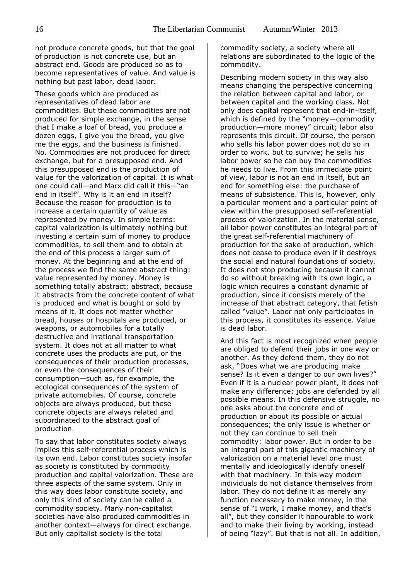not produce concrete goods, but that the goal of production is not concrete use, but an abstract end. Goods are produced so as to become representatives of value. And value is nothing but past labor, dead labor.

These goods which are produced as representatives of dead labor are commodities. But these commodities are not produced for simple exchange, in the sense that I make a loaf of bread, you produce a dozen eggs, I give you the bread, you give me the eggs, and the business is finished. No. Commodities are not produced for direct exchange, but for a presupposed end. And this presupposed end is the production of value for the valorization of capital. It is what one could call—and Marx did call it this—"an end in itself". Why is it an end in itself? Because the reason for production is to increase a certain quantity of value as represented by money. In simple terms: capital valorization is ultimately nothing but investing a certain sum of money to produce commodities, to sell them and to obtain at the end of this process a larger sum of money. At the beginning and at the end of the process we find the same abstract thing: value represented by money. Money is something totally abstract; abstract, because it abstracts from the concrete content of what is produced and what is bought or sold by means of it. It does not matter whether bread, houses or hospitals are produced, or weapons, or automobiles for a totally destructive and irrational transportation system. It does not at all matter to what concrete uses the products are put, or the consequences of their production processes, or even the consequences of their consumption—such as, for example, the ecological consequences of the system of private automobiles. Of course, concrete objects are always produced, but these concrete objects are always related and subordinated to the abstract goal of production.

To say that labor constitutes society always implies this self-referential process which is its own end. Labor constitutes society insofar as society is constituted by commodity production and capital valorization. These are three aspects of the same system. Only in this way does labor constitute society, and only this kind of society can be called a commodity society. Many non-capitalist societies have also produced commodities in another context—always for direct exchange. But only capitalist society is the total

commodity society, a society where all relations are subordinated to the logic of the commodity.

Describing modern society in this way also means changing the perspective concerning the relation between capital and labor, or between capital and the working class. Not only does capital represent that end-in-itself, which is defined by the "money—commodity production—more money" circuit; labor also represents this circuit. Of course, the person who sells his labor power does not do so in order to work, but to survive; he sells his labor power so he can buy the commodities he needs to live. From this immediate point of view, labor is not an end in itself, but an end for something else: the purchase of means of subsistence. This is, however, only a particular moment and a particular point of view within the presupposed self-referential process of valorization. In the material sense, all labor power constitutes an integral part of the great self-referential machinery of production for the sake of production, which does not cease to produce even if it destroys the social and natural foundations of society. It does not stop producing because it cannot do so without breaking with its own logic, a logic which requires a constant dynamic of production, since it consists merely of the increase of that abstract category, that fetish called "value". Labor not only participates in this process, it constitutes its essence. Value is dead labor.

And this fact is most recognized when people are obliged to defend their jobs in one way or another. As they defend them, they do not ask, "Does what we are producing make sense? Is it even a danger to our own lives?" Even if it is a nuclear power plant, it does not make any difference; jobs are defended by all possible means. In this defensive struggle, no one asks about the concrete end of production or about its possible or actual consequences; the only issue is whether or not they can continue to sell their commodity: labor power. But in order to be an integral part of this gigantic machinery of valorization on a material level one must mentally and ideologically identify oneself with that machinery. In this way modern individuals do not distance themselves from labor. They do not define it as merely any function necessary to make money, in the sense of "I work, I make money, and that's all", but they consider it honourable to work and to make their living by working, instead of being "lazy". But that is not all. In addition,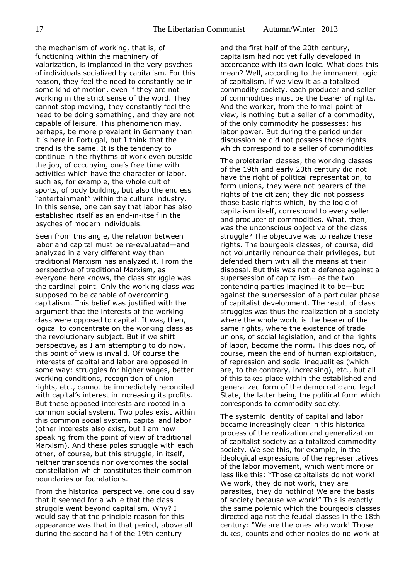the mechanism of working, that is, of functioning within the machinery of valorization, is implanted in the very psyches of individuals socialized by capitalism. For this reason, they feel the need to constantly be in some kind of motion, even if they are not working in the strict sense of the word. They cannot stop moving, they constantly feel the need to be doing something, and they are not capable of leisure. This phenomenon may, perhaps, be more prevalent in Germany than it is here in Portugal, but I think that the trend is the same. It is the tendency to continue in the rhythms of work even outside the job, of occupying one's free time with activities which have the character of labor, such as, for example, the whole cult of sports, of body building, but also the endless "entertainment" within the culture industry. In this sense, one can say that labor has also established itself as an end-in-itself in the psyches of modern individuals.

Seen from this angle, the relation between labor and capital must be re-evaluated—and analyzed in a very different way than traditional Marxism has analyzed it. From the perspective of traditional Marxism, as everyone here knows, the class struggle was the cardinal point. Only the working class was supposed to be capable of overcoming capitalism. This belief was justified with the argument that the interests of the working class were opposed to capital. It was, then, logical to concentrate on the working class as the revolutionary subject. But if we shift perspective, as I am attempting to do now, this point of view is invalid. Of course the interests of capital and labor are opposed in some way: struggles for higher wages, better working conditions, recognition of union rights, etc., cannot be immediately reconciled with capital's interest in increasing its profits. But these opposed interests are rooted in a common social system. Two poles exist within this common social system, capital and labor (other interests also exist, but I am now speaking from the point of view of traditional Marxism). And these poles struggle with each other, of course, but this struggle, in itself, neither transcends nor overcomes the social constellation which constitutes their common boundaries or foundations.

From the historical perspective, one could say that it seemed for a while that the class struggle went beyond capitalism. Why? I would say that the principle reason for this appearance was that in that period, above all during the second half of the 19th century

and the first half of the 20th century, capitalism had not yet fully developed in accordance with its own logic. What does this mean? Well, according to the immanent logic of capitalism, if we view it as a totalized commodity society, each producer and seller of commodities must be the bearer of rights. And the worker, from the formal point of view, is nothing but a seller of a commodity, of the only commodity he possesses: his labor power. But during the period under discussion he did not possess those rights which correspond to a seller of commodities.

The proletarian classes, the working classes of the 19th and early 20th century did not have the right of political representation, to form unions, they were not bearers of the rights of the citizen; they did not possess those basic rights which, by the logic of capitalism itself, correspond to every seller and producer of commodities. What, then, was the unconscious objective of the class struggle? The objective was to realize these rights. The bourgeois classes, of course, did not voluntarily renounce their privileges, but defended them with all the means at their disposal. But this was not a defence against a supersession of capitalism—as the two contending parties imagined it to be—but against the supersession of a particular phase of capitalist development. The result of class struggles was thus the realization of a society where the whole world is the bearer of the same rights, where the existence of trade unions, of social legislation, and of the rights of labor, become the norm. This does not, of course, mean the end of human exploitation, of repression and social inequalities (which are, to the contrary, increasing), etc., but all of this takes place within the established and generalized form of the democratic and legal State, the latter being the political form which corresponds to commodity society.

The systemic identity of capital and labor became increasingly clear in this historical process of the realization and generalization of capitalist society as a totalized commodity society. We see this, for example, in the ideological expressions of the representatives of the labor movement, which went more or less like this: "Those capitalists do not work! We work, they do not work, they are parasites, they do nothing! We are the basis of society because we work!" This is exactly the same polemic which the bourgeois classes directed against the feudal classes in the 18th century: "We are the ones who work! Those dukes, counts and other nobles do no work at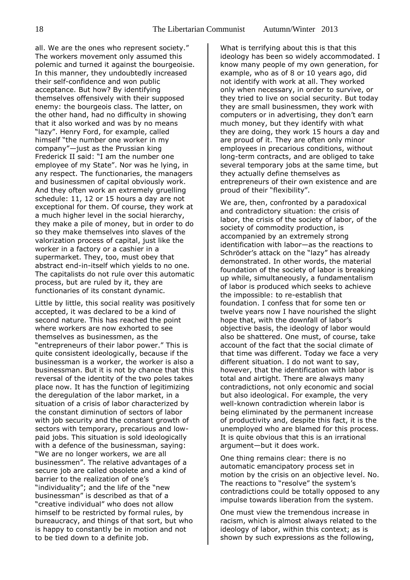all. We are the ones who represent society." The workers movement only assumed this polemic and turned it against the bourgeoisie. In this manner, they undoubtedly increased their self-confidence and won public acceptance. But how? By identifying themselves offensively with their supposed enemy: the bourgeois class. The latter, on the other hand, had no difficulty in showing that it also worked and was by no means "lazy". Henry Ford, for example, called himself "the number one worker in my company"—just as the Prussian king Frederick II said: "I am the number one employee of my State". Nor was he lying, in any respect. The functionaries, the managers and businessmen of capital obviously work. And they often work an extremely gruelling schedule: 11, 12 or 15 hours a day are not exceptional for them. Of course, they work at a much higher level in the social hierarchy, they make a pile of money, but in order to do so they make themselves into slaves of the valorization process of capital, just like the worker in a factory or a cashier in a supermarket. They, too, must obey that abstract end-in-itself which yields to no one. The capitalists do not rule over this automatic process, but are ruled by it, they are functionaries of its constant dynamic.

Little by little, this social reality was positively accepted, it was declared to be a kind of second nature. This has reached the point where workers are now exhorted to see themselves as businessmen, as the "entrepreneurs of their labor power." This is quite consistent ideologically, because if the businessman is a worker, the worker is also a businessman. But it is not by chance that this reversal of the identity of the two poles takes place now. It has the function of legitimizing the deregulation of the labor market, in a situation of a crisis of labor characterized by the constant diminution of sectors of labor with job security and the constant growth of sectors with temporary, precarious and lowpaid jobs. This situation is sold ideologically with a defence of the businessman, saying: "We are no longer workers, we are all businessmen". The relative advantages of a secure job are called obsolete and a kind of barrier to the realization of one's "individuality"; and the life of the "new businessman" is described as that of a "creative individual" who does not allow himself to be restricted by formal rules, by bureaucracy, and things of that sort, but who is happy to constantly be in motion and not to be tied down to a definite job.

What is terrifying about this is that this ideology has been so widely accommodated. I know many people of my own generation, for example, who as of 8 or 10 years ago, did not identify with work at all. They worked only when necessary, in order to survive, or they tried to live on social security. But today they are small businessmen, they work with computers or in advertising, they don't earn much money, but they identify with what they are doing, they work 15 hours a day and are proud of it. They are often only minor employees in precarious conditions, without long-term contracts, and are obliged to take several temporary jobs at the same time, but they actually define themselves as entrepreneurs of their own existence and are proud of their "flexibility".

We are, then, confronted by a paradoxical and contradictory situation: the crisis of labor, the crisis of the society of labor, of the society of commodity production, is accompanied by an extremely strong identification with labor—as the reactions to Schröder's attack on the "lazy" has already demonstrated. In other words, the material foundation of the society of labor is breaking up while, simultaneously, a fundamentalism of labor is produced which seeks to achieve the impossible: to re-establish that foundation. I confess that for some ten or twelve years now I have nourished the slight hope that, with the downfall of labor's objective basis, the ideology of labor would also be shattered. One must, of course, take account of the fact that the social climate of that time was different. Today we face a very different situation. I do not want to say, however, that the identification with labor is total and airtight. There are always many contradictions, not only economic and social but also ideological. For example, the very well-known contradiction wherein labor is being eliminated by the permanent increase of productivity and, despite this fact, it is the unemployed who are blamed for this process. It is quite obvious that this is an irrational argument—but it does work.

One thing remains clear: there is no automatic emancipatory process set in motion by the crisis on an objective level. No. The reactions to "resolve" the system's contradictions could be totally opposed to any impulse towards liberation from the system.

One must view the tremendous increase in racism, which is almost always related to the ideology of labor, within this context; as is shown by such expressions as the following,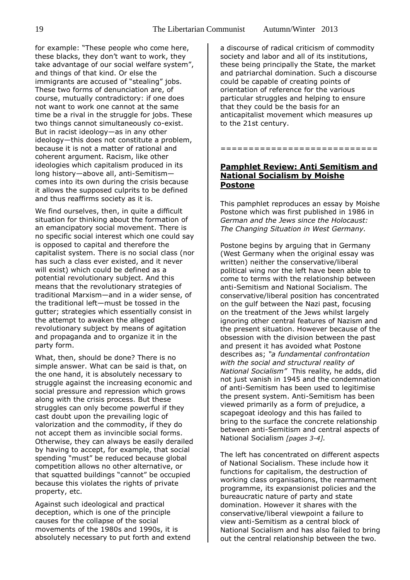for example: "These people who come here, these blacks, they don't want to work, they take advantage of our social welfare system", and things of that kind. Or else the immigrants are accused of "stealing" jobs. These two forms of denunciation are, of course, mutually contradictory: if one does not want to work one cannot at the same time be a rival in the struggle for jobs. These two things cannot simultaneously co-exist. But in racist ideology—as in any other ideology—this does not constitute a problem, because it is not a matter of rational and coherent argument. Racism, like other ideologies which capitalism produced in its long history—above all, anti-Semitism comes into its own during the crisis because it allows the supposed culprits to be defined and thus reaffirms society as it is.

We find ourselves, then, in quite a difficult situation for thinking about the formation of an emancipatory social movement. There is no specific social interest which one could say is opposed to capital and therefore the capitalist system. There is no social class (nor has such a class ever existed, and it never will exist) which could be defined as a potential revolutionary subject. And this means that the revolutionary strategies of traditional Marxism—and in a wider sense, of the traditional left—must be tossed in the gutter; strategies which essentially consist in the attempt to awaken the alleged revolutionary subject by means of agitation and propaganda and to organize it in the party form.

What, then, should be done? There is no simple answer. What can be said is that, on the one hand, it is absolutely necessary to struggle against the increasing economic and social pressure and repression which grows along with the crisis process. But these struggles can only become powerful if they cast doubt upon the prevailing logic of valorization and the commodity, if they do not accept them as invincible social forms. Otherwise, they can always be easily derailed by having to accept, for example, that social spending "must" be reduced because global competition allows no other alternative, or that squatted buildings "cannot" be occupied because this violates the rights of private property, etc.

Against such ideological and practical deception, which is one of the principle causes for the collapse of the social movements of the 1980s and 1990s, it is absolutely necessary to put forth and extend a discourse of radical criticism of commodity society and labor and all of its institutions, these being principally the State, the market and patriarchal domination. Such a discourse could be capable of creating points of orientation of reference for the various particular struggles and helping to ensure that they could be the basis for an anticapitalist movement which measures up to the 21st century.

**Pamphlet Review: Anti Semitism and National Socialism by Moishe Postone**

============================

This pamphlet reproduces an essay by Moishe Postone which was first published in 1986 in *German and the Jews since the Holocaust: The Changing Situation in West Germany.*

Postone begins by arguing that in Germany (West Germany when the original essay was written) neither the conservative/liberal political wing nor the left have been able to come to terms with the relationship between anti-Semitism and National Socialism. The conservative/liberal position has concentrated on the gulf between the Nazi past, focusing on the treatment of the Jews whilst largely ignoring other central features of Nazism and the present situation. However because of the obsession with the division between the past and present it has avoided what Postone describes as; *"a fundamental confrontation with the social and structural reality of National Socialism"* This reality, he adds, did not just vanish in 1945 and the condemnation of anti-Semitism has been used to legitimise the present system. Anti-Semitism has been viewed primarily as a form of prejudice, a scapegoat ideology and this has failed to bring to the surface the concrete relationship between anti-Semitism and central aspects of National Socialism *[pages 3-4].* 

The left has concentrated on different aspects of National Socialism. These include how it functions for capitalism, the destruction of working class organisations, the rearmament programme, its expansionist policies and the bureaucratic nature of party and state domination. However it shares with the conservative/liberal viewpoint a failure to view anti-Semitism as a central block of National Socialism and has also failed to bring out the central relationship between the two.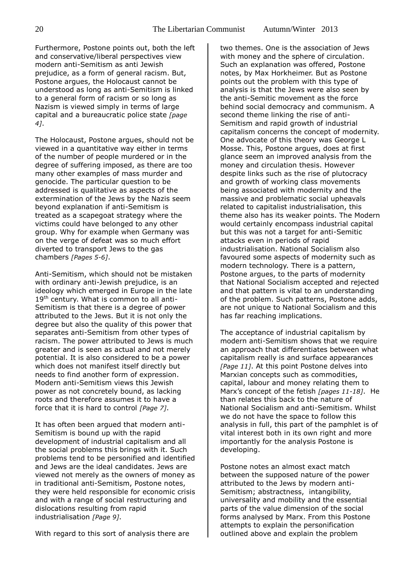Furthermore, Postone points out, both the left and conservative/liberal perspectives view modern anti-Semitism as anti Jewish prejudice, as a form of general racism. But, Postone argues, the Holocaust cannot be understood as long as anti-Semitism is linked to a general form of racism or so long as Nazism is viewed simply in terms of large capital and a bureaucratic police state *[page 4]*.

The Holocaust, Postone argues, should not be viewed in a quantitative way either in terms of the number of people murdered or in the degree of suffering imposed, as there are too many other examples of mass murder and genocide. The particular question to be addressed is qualitative as aspects of the extermination of the Jews by the Nazis seem beyond explanation if anti-Semitism is treated as a scapegoat strategy where the victims could have belonged to any other group. Why for example when Germany was on the verge of defeat was so much effort diverted to transport Jews to the gas chambers *[Pages 5-6]*.

Anti-Semitism, which should not be mistaken with ordinary anti-Jewish prejudice, is an ideology which emerged in Europe in the late 19<sup>th</sup> century. What is common to all anti-Semitism is that there is a degree of power attributed to the Jews. But it is not only the degree but also the quality of this power that separates anti-Semitism from other types of racism. The power attributed to Jews is much greater and is seen as actual and not merely potential. It is also considered to be a power which does not manifest itself directly but needs to find another form of expression. Modern anti-Semitism views this Jewish power as not concretely bound, as lacking roots and therefore assumes it to have a force that it is hard to control *[Page 7]*.

It has often been argued that modern anti-Semitism is bound up with the rapid development of industrial capitalism and all the social problems this brings with it. Such problems tend to be personified and identified and Jews are the ideal candidates. Jews are viewed not merely as the owners of money as in traditional anti-Semitism, Postone notes, they were held responsible for economic crisis and with a range of social restructuring and dislocations resulting from rapid industrialisation *[Page 9]*.

With regard to this sort of analysis there are

two themes. One is the association of Jews with money and the sphere of circulation. Such an explanation was offered, Postone notes, by Max Horkheimer. But as Postone points out the problem with this type of analysis is that the Jews were also seen by the anti-Semitic movement as the force behind social democracy and communism. A second theme linking the rise of anti-Semitism and rapid growth of industrial capitalism concerns the concept of modernity. One advocate of this theory was George L Mosse. This, Postone argues, does at first glance seem an improved analysis from the money and circulation thesis. However despite links such as the rise of plutocracy and growth of working class movements being associated with modernity and the massive and problematic social upheavals related to capitalist industrialisation, this theme also has its weaker points. The Modern would certainly encompass industrial capital but this was not a target for anti-Semitic attacks even in periods of rapid industrialisation. National Socialism also favoured some aspects of modernity such as modern technology. There is a pattern, Postone argues, to the parts of modernity that National Socialism accepted and rejected and that pattern is vital to an understanding of the problem. Such patterns, Postone adds, are not unique to National Socialism and this has far reaching implications.

The acceptance of industrial capitalism by modern anti-Semitism shows that we require an approach that differentiates between what capitalism really is and surface appearances *[Page 11]*. At this point Postone delves into Marxian concepts such as commodities, capital, labour and money relating them to Marx's concept of the fetish *[pages 11-18]*. He than relates this back to the nature of National Socialism and anti-Semitism. Whilst we do not have the space to follow this analysis in full, this part of the pamphlet is of vital interest both in its own right and more importantly for the analysis Postone is developing.

Postone notes an almost exact match between the supposed nature of the power attributed to the Jews by modern anti-Semitism; abstractness, intangibility, universality and mobility and the essential parts of the value dimension of the social forms analysed by Marx. From this Postone attempts to explain the personification outlined above and explain the problem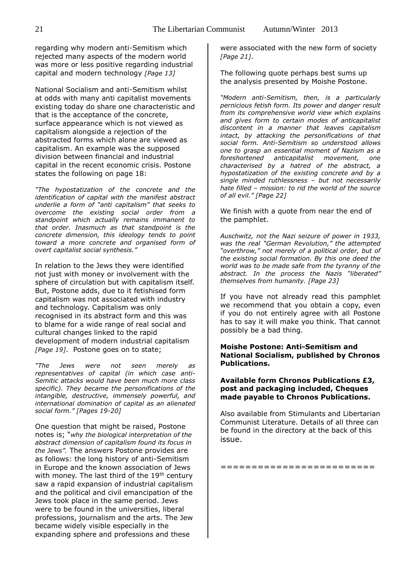regarding why modern anti-Semitism which rejected many aspects of the modern world was more or less positive regarding industrial capital and modern technology *[Page 13]*

National Socialism and anti-Semitism whilst at odds with many anti capitalist movements existing today do share one characteristic and that is the acceptance of the concrete, surface appearance which is not viewed as capitalism alongside a rejection of the abstracted forms which alone are viewed as capitalism. An example was the supposed division between financial and industrial capital in the recent economic crisis. Postone states the following on page 18:

*"The hypostatization of the concrete and the identification of capital with the manifest abstract underlie a form of "anti capitalism" that seeks to overcome the existing social order from a standpoint which actually remains immanent to that order. Inasmuch as that standpoint is the concrete dimension, this ideology tends to point toward a more concrete and organised form of overt capitalist social synthesis."*

In relation to the Jews they were identified not just with money or involvement with the sphere of circulation but with capitalism itself. But, Postone adds, due to it fetishised form capitalism was not associated with industry and technology. Capitalism was only recognised in its abstract form and this was to blame for a wide range of real social and cultural changes linked to the rapid development of modern industrial capitalism *[Page 19]*. Postone goes on to state;

*"The Jews were not seen merely as representatives of capital (in which case anti-Semitic attacks would have been much more class specific). They became the personifications of the intangible, destructive, immensely powerful, and international domination of capital as an alienated social form." [Pages 19-20]*

One question that might be raised, Postone notes is; "*why the biological interpretation of the abstract dimension of capitalism found its focus in the Jews".* The answers Postone provides are as follows: the long history of anti-Semitism in Europe and the known association of Jews with money. The last third of the  $19<sup>th</sup>$  century saw a rapid expansion of industrial capitalism and the political and civil emancipation of the Jews took place in the same period. Jews were to be found in the universities, liberal professions, journalism and the arts. The Jew became widely visible especially in the expanding sphere and professions and these

were associated with the new form of society *[Page 21]*.

The following quote perhaps best sums up the analysis presented by Moishe Postone.

*"Modern anti-Semitism, then, is a particularly pernicious fetish form. Its power and danger result from its comprehensive world view which explains and gives form to certain modes of anticapitalist discontent in a manner that leaves capitalism intact, by attacking the personifications of that social form. Anti-Semitism so understood allows one to grasp an essential moment of Nazism as a foreshortened anticapitalist movement, one characterised by a hatred of the abstract, a hypostatization of the existing concrete and by a single minded ruthlessness – but not necessarily hate filled – mission: to rid the world of the source of all evil." [Page 22]*

We finish with a quote from near the end of the pamphlet.

*Auschwitz, not the Nazi seizure of power in 1933, was the real "German Revolution," the attempted "overthrow," not merely of a political order, but of the existing social formation. By this one deed the world was to be made safe from the tyranny of the abstract. In the process the Nazis "liberated" themselves from humanity. [Page 23]*

If you have not already read this pamphlet we recommend that you obtain a copy, even if you do not entirely agree with all Postone has to say it will make you think. That cannot possibly be a bad thing.

#### **Moishe Postone: Anti-Semitism and National Socialism, published by Chronos Publications.**

#### **Available form Chronos Publications £3, post and packaging included, Cheques made payable to Chronos Publications.**

Also available from Stimulants and Libertarian Communist Literature. Details of all three can be found in the directory at the back of this issue.

=========================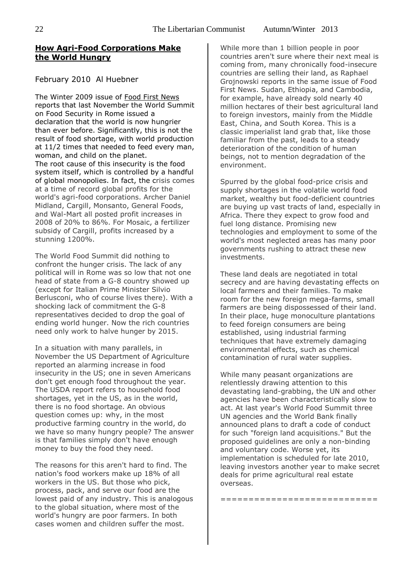# **[How Agri-Food Corporations Make](http://towardfreedom.com/home/environment/1851-how-agri-food-corporations-make-the-world-hungry)  [the World Hungry](http://towardfreedom.com/home/environment/1851-how-agri-food-corporations-make-the-world-hungry)**

# February 2010 Al Huebner

The Winter 2009 issue of [Food First News](http://www.foodfirst.org/) reports that last November the World Summit on Food Security in Rome issued a declaration that the world is now hungrier than ever before. Significantly, this is not the result of food shortage, with world production at 11/2 times that needed to feed every man, woman, and child on the planet. The root cause of this insecurity is the food system itself, which is controlled by a handful of global monopolies. In fact, the crisis comes at a time of record global profits for the world's agri-food corporations. Archer Daniel Midland, Cargill, Monsanto, General Foods, and Wal-Mart all posted profit increases in 2008 of 20% to 86%. For Mosaic, a fertilizer subsidy of Cargill, profits increased by a stunning 1200%.

The World Food Summit did nothing to confront the hunger crisis. The lack of any political will in Rome was so low that not one head of state from a G-8 country showed up (except for Italian Prime Minister Silvio Berlusconi, who of course lives there). With a shocking lack of commitment the G-8 representatives decided to drop the goal of ending world hunger. Now the rich countries need only work to halve hunger by 2015.

In a situation with many parallels, in November the US Department of Agriculture reported an alarming increase in food insecurity in the US; one in seven Americans don't get enough food throughout the year. The USDA report refers to household food shortages, yet in the US, as in the world, there is no food shortage. An obvious question comes up: why, in the most productive farming country in the world, do we have so many hungry people? The answer is that families simply don't have enough money to buy the food they need.

The reasons for this aren't hard to find. The nation's food workers make up 18% of all workers in the US. But those who pick, process, pack, and serve our food are the lowest paid of any industry. This is analogous to the global situation, where most of the world's hungry are poor farmers. In both cases women and children suffer the most.

While more than 1 billion people in poor countries aren't sure where their next meal is coming from, many chronically food-insecure countries are selling their land, as Raphael Grojnowski reports in the same issue of Food First News. Sudan, Ethiopia, and Cambodia, for example, have already sold nearly 40 million hectares of their best agricultural land to foreign investors, mainly from the Middle East, China, and South Korea. This is a classic imperialist land grab that, like those familiar from the past, leads to a steady deterioration of the condition of human beings, not to mention degradation of the environment.

Spurred by the global food-price crisis and supply shortages in the volatile world food market, wealthy but food-deficient countries are buying up vast tracts of land, especially in Africa. There they expect to grow food and fuel long distance. Promising new technologies and employment to some of the world's most neglected areas has many poor governments rushing to attract these new investments.

These land deals are negotiated in total secrecy and are having devastating effects on local farmers and their families. To make room for the new foreign mega-farms, small farmers are being dispossessed of their land. In their place, huge monoculture plantations to feed foreign consumers are being established, using industrial farming techniques that have extremely damaging environmental effects, such as chemical contamination of rural water supplies.

While many peasant organizations are relentlessly drawing attention to this devastating land-grabbing, the UN and other agencies have been characteristically slow to act. At last year's World Food Summit three UN agencies and the World Bank finally announced plans to draft a code of conduct for such "foreign land acquisitions." But the proposed guidelines are only a non-binding and voluntary code. Worse yet, its implementation is scheduled for late 2010, leaving investors another year to make secret deals for prime agricultural real estate overseas.

============================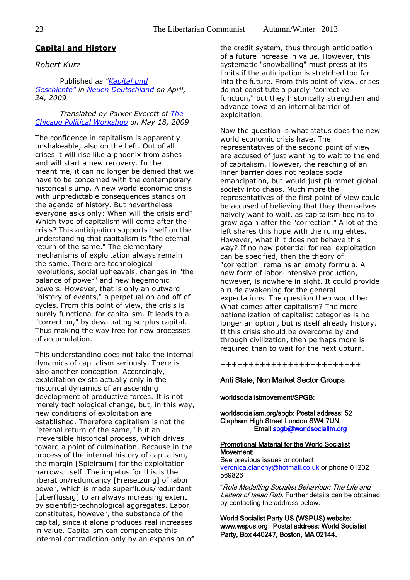# **Capital and History**

# *Robert Kurz*

Published *as ["Kapital und](http://www.exit-online.org/textanz1.php?tabelle=aktuelles&index=2&posnr=359)  [Geschichte"](http://www.exit-online.org/textanz1.php?tabelle=aktuelles&index=2&posnr=359) in [Neuen Deutschland](http://www.neues-deutschland.de/artikel/147720.kapital-und-geschichte.html?sstr=kapital|und|geschichte) on April, 24, 2009*

*Translated by Parker Everett of [The](http://www.chicagopoliticalworkshop.webs.com/)  [Chicago Political Workshop](http://www.chicagopoliticalworkshop.webs.com/) on May 18, 2009*

The confidence in capitalism is apparently unshakeable; also on the Left. Out of all crises it will rise like a phoenix from ashes and will start a new recovery. In the meantime, it can no longer be denied that we have to be concerned with the contemporary historical slump. A new world economic crisis with unpredictable consequences stands on the agenda of history. But nevertheless everyone asks only: When will the crisis end? Which type of capitalism will come after the crisis? This anticipation supports itself on the understanding that capitalism is "the eternal return of the same." The elementary mechanisms of exploitation always remain the same. There are technological revolutions, social upheavals, changes in "the balance of power" and new hegemonic powers. However, that is only an outward "history of events," a perpetual on and off of cycles. From this point of view, the crisis is purely functional for capitalism. It leads to a "correction," by devaluating surplus capital. Thus making the way free for new processes of accumulation.

This understanding does not take the internal dynamics of capitalism seriously. There is also another conception. Accordingly, exploitation exists actually only in the historical dynamics of an ascending development of productive forces. It is not merely technological change, but, in this way, new conditions of exploitation are established. Therefore capitalism is not the "eternal return of the same," but an irreversible historical process, which drives toward a point of culmination. Because in the process of the internal history of capitalism, the margin [Spielraum] for the exploitation narrows itself. The impetus for this is the liberation/redundancy [Freisetzung] of labor power, which is made superfluous/redundant [überflüssig] to an always increasing extent by scientific-technological aggregates. Labor constitutes, however, the substance of the capital, since it alone produces real increases in value. Capitalism can compensate this internal contradiction only by an expansion of

the credit system, thus through anticipation of a future increase in value. However, this systematic "snowballing" must press at its limits if the anticipation is stretched too far into the future. From this point of view, crises do not constitute a purely "corrective function," but they historically strengthen and advance toward an internal barrier of exploitation.

Now the question is what status does the new world economic crisis have. The representatives of the second point of view are accused of just wanting to wait to the end of capitalism. However, the reaching of an inner barrier does not replace social emancipation, but would just plummet global society into chaos. Much more the representatives of the first point of view could be accused of believing that they themselves naively want to wait, as capitalism begins to grow again after the "correction." A lot of the left shares this hope with the ruling elites. However, what if it does not behave this way? If no new potential for real exploitation can be specified, then the theory of "correction" remains an empty formula. A new form of labor-intensive production, however, is nowhere in sight. It could provide a rude awakening for the general expectations. The question then would be: What comes after capitalism? The mere nationalization of capitalist categories is no longer an option, but is itself already history. If this crisis should be overcome by and through civilization, then perhaps more is required than to wait for the next upturn.

+++++++++++++++++++++++++

#### Anti State, Non Market Sector Groups

#### worldsocialistmovement/SPGB:

worldsocialism.org/spgb: Postal address: 52 Clapham High Street London SW4 7UN. Email [spgb@worldsocialim.org](mailto:spgb@worldsocialim.org) 

#### Promotional Material for the World Socialist Movement:

See previous issues or contact [veronica.clanchy@hotmail.co.uk](mailto:veronica.clanchy@hotmail.co.uk) or phone 01202 569826

"Role Modelling Socialist Behaviour: The Life and Letters of Isaac Rab. Further details can be obtained by contacting the address below.

World Socialist Party US (WSPUS) website: www.wspus.org Postal address: World Socialist Party, Box 440247, Boston, MA 02144.